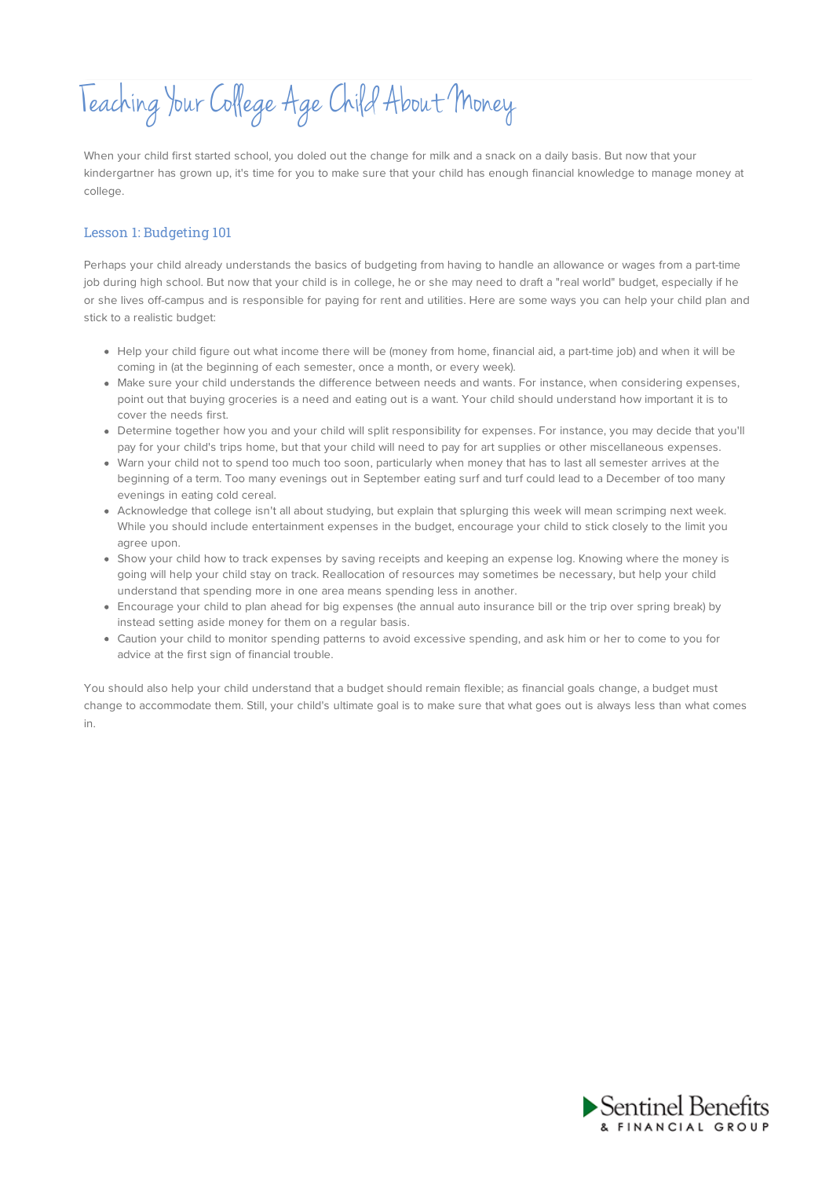Teaching YourCollege AgeChild About Money

When your child first started school, you doled out the change for milk and a snack on a daily basis. But now that your kindergartner has grown up, it's time for you to make sure that your child has enough financial knowledge to manage money at college.

## Lesson 1: Budgeting 101

Perhaps your child already understands the basics of budgeting from having to handle an allowance or wages from a part-time job during high school. But now that your child is in college, he or she may need to draft a "real world" budget, especially if he or she lives off-campus and is responsible for paying for rent and utilities. Here are some ways you can help your child plan and stick to a realistic budget:

- Help your child figure out what income there will be (money from home, financial aid, a part-time job) and when it will be coming in (at the beginning of each semester, once a month, or every week).
- Make sure your child understands the difference between needs and wants. For instance, when considering expenses, point out that buying groceries is a need and eating out is a want. Your child should understand how important it is to cover the needs first.
- Determine together how you and your child will split responsibility for expenses. For instance, you may decide that you'll pay for your child's trips home, but that your child will need to pay for art supplies or other miscellaneous expenses.
- Warn your child not to spend too much too soon, particularly when money that has to last all semester arrives at the beginning of a term. Too many evenings out in September eating surf and turf could lead to a December of too many evenings in eating cold cereal.
- Acknowledge that college isn't all about studying, but explain that splurging this week will mean scrimping next week. While you should include entertainment expenses in the budget, encourage your child to stick closely to the limit you agree upon.
- Show your child how to track expenses by saving receipts and keeping an expense log. Knowing where the money is going will help your child stay on track. Reallocation of resources may sometimes be necessary, but help your child understand that spending more in one area means spending less in another.
- Encourage your child to plan ahead for big expenses (the annual auto insurance bill or the trip over spring break) by instead setting aside money for them on a regular basis.
- Caution your child to monitor spending patterns to avoid excessive spending, and ask him or her to come to you for advice at the first sign of financial trouble.

You should also help your child understand that a budget should remain flexible; as financial goals change, a budget must change to accommodate them. Still, your child's ultimate goal is to make sure that what goes out is always less than what comes in.